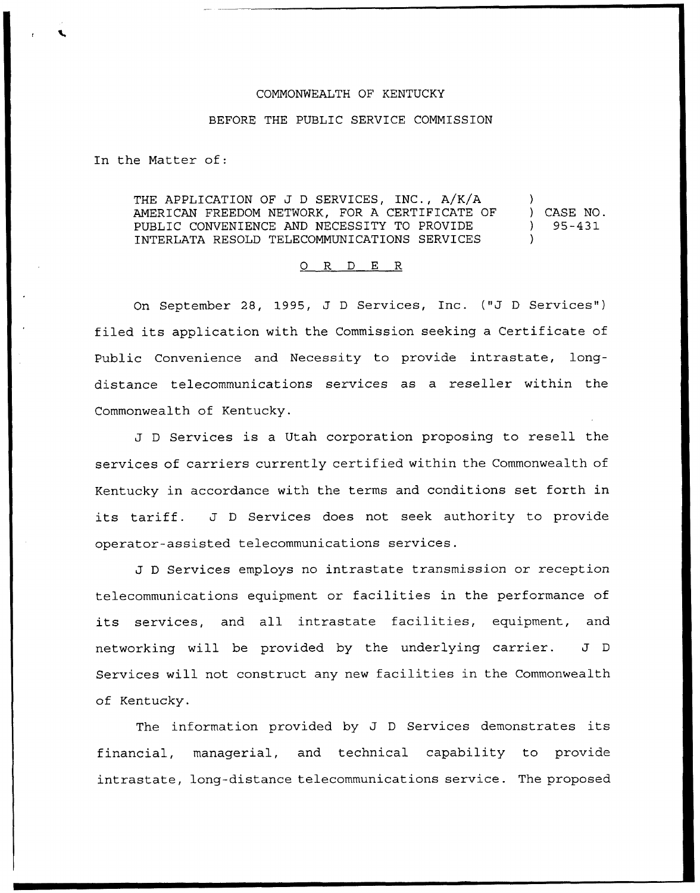## COMMONWEALTH OF KENTUCKY

## BEFORE THE PUBLIC SERVICE COMMISSION

In the Matter of:

THE APPLICATION OF J <sup>D</sup> SERVICES, INC., A/K/A AMERICAN FREEDOM NETWORK, FOR A CERTIFICATE OF PUBLIC CONVENIENCE AND NECESSITY TO PROVIDE INTERLATA RESOLD TELECOMMUNICATIONS SERVICES ) ) CASE NO. ) 95-431 )

## 0 R <sup>D</sup> E R

On September 28, 1995, J D Services, Inc. ("J D Services") filed its application with the Commission seeking <sup>a</sup> Certificate of Public Convenience and Necessity to provide intrastate, longdistance telecommunications services as a reseller within the Commonwealth of Kentucky.

J <sup>D</sup> Services is <sup>a</sup> Utah corporation proposing to resell the services of carriers currently certified within the Commonwealth of Kentucky in accordance with the terms and conditions set forth in its tariff. J <sup>D</sup> Services does not seek authority to provide operator-assisted telecommunications services.

J <sup>D</sup> Services employs no intrastate transmission or reception telecommunications equipment or facilities in the performance of its services, and all intrastate facilities, equipment, and networking will be provided by the underlying carrier. J <sup>D</sup> Services will not construct any new facilities in the Commonwealth of Kentucky.

The information provided by J <sup>D</sup> Services demonstrates its financial, managerial, and technical capability to provide intrastate, long-distance telecommunications service. The proposed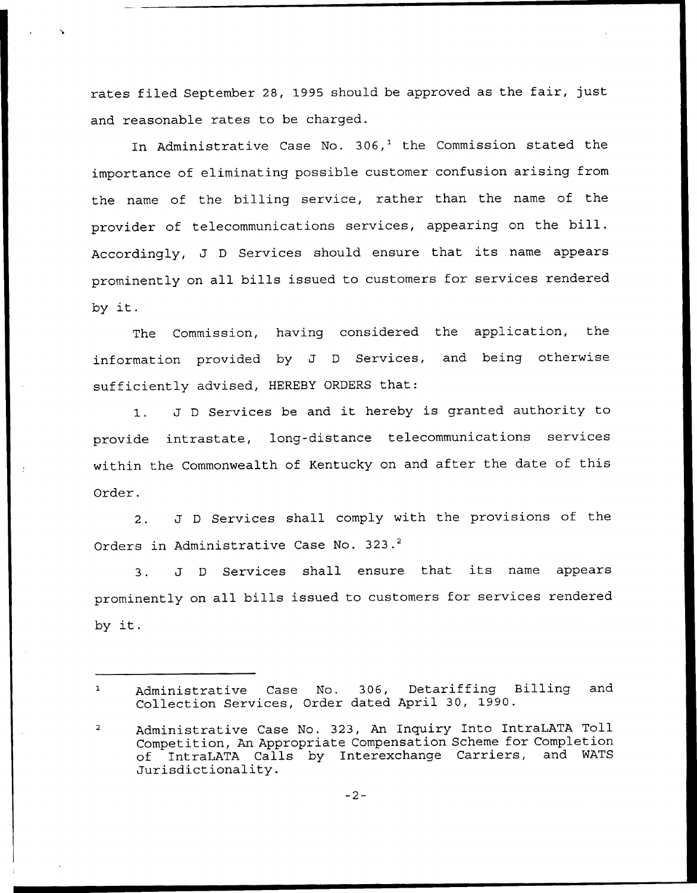rates filed September 28, 1995 should be approved as the fair, just and reasonable rates to be charged.

In Administrative Case No. 306,<sup>1</sup> the Commission stated the importance of eliminating possible customer confusion arising from the name of the billing service, rather than the name of the provider of telecommunications services, appearing on the bill. Accordingly, J <sup>D</sup> Services should ensure that its name appears prominently on all bills issued to customers for services rendered by it.

The Commission, having considered the application, the information provided by J <sup>D</sup> Services, and being otherwise sufficiently advised, HEREBY ORDERS that:

1. J <sup>D</sup> Services be and it hereby is granted authority to provide intrastate, long-distance telecommunications services within the Commonwealth of Kentucky on and after the date of this Order.

2. J <sup>D</sup> Services shall comply with the provisions of the Orders in Administrative Case No. 323.<sup>2</sup>

 $3.$ J <sup>D</sup> Services shall ensure that its name appears prominently on all bills issued to customers for services rendered by it.

Administrative Case No. 306, Detariffing Billing and  $\mathbf{1}$ Collection Services, Order dated April 30, 1990.

Administrative Case No. 323, An Inquiry Into IntraLATA Toll  $\overline{2}$ Competition, An Appropriate Compensation Scheme for Completion<br>of IntraLATA Calls by Interexchange Carriers, and WATS of IntraLATA Calls by Interexchange Carriers, Jurisdictionality.